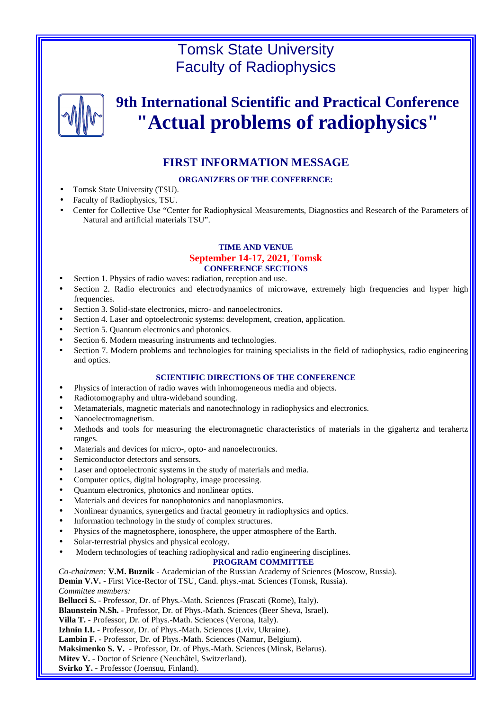# Tomsk State University Faculty of Radiophysics



# **9th International Scientific and Practical Conference "Actual problems of radiophysics"**

# **FIRST INFORMATION MESSAGE**

# **ORGANIZERS OF THE CONFERENCE:**

- Tomsk State University (TSU).
- Faculty of Radiophysics, TSU.
- Center for Collective Use "Center for Radiophysical Measurements, Diagnostics and Research of the Parameters of Natural and artificial materials TSU".

# **TIME AND VENUE**

#### **September 14-17, 2021, Tomsk CONFERENCE SECTIONS**

- Section 1. Physics of radio waves: radiation, reception and use.
- Section 2. Radio electronics and electrodynamics of microwave, extremely high frequencies and hyper high frequencies.
- Section 3. Solid-state electronics, micro- and nanoelectronics.
- Section 4. Laser and optoelectronic systems: development, creation, application.
- Section 5. Quantum electronics and photonics.
- Section 6. Modern measuring instruments and technologies.
- Section 7. Modern problems and technologies for training specialists in the field of radiophysics, radio engineering and optics.

## **SCIENTIFIC DIRECTIONS OF THE CONFERENCE**

- Physics of interaction of radio waves with inhomogeneous media and objects.
- Radiotomography and ultra-wideband sounding.
- Metamaterials, magnetic materials and nanotechnology in radiophysics and electronics.
- Nanoelectromagnetism.
- Methods and tools for measuring the electromagnetic characteristics of materials in the gigahertz and terahertz ranges.
- Materials and devices for micro-, opto- and nanoelectronics.
- Semiconductor detectors and sensors.
- Laser and optoelectronic systems in the study of materials and media.
- Computer optics, digital holography, image processing.
- Quantum electronics, photonics and nonlinear optics.
- Materials and devices for nanophotonics and nanoplasmonics.
- Nonlinear dynamics, synergetics and fractal geometry in radiophysics and optics.
- Information technology in the study of complex structures.
- Physics of the magnetosphere, ionosphere, the upper atmosphere of the Earth.
- Solar-terrestrial physics and physical ecology.
- Modern technologies of teaching radiophysical and radio engineering disciplines.

#### **PROGRAM COMMITTEE**

*Co-chairmen:* **V.M. Buznik** - Academician of the Russian Academy of Sciences (Moscow, Russia).

**Demin V.V.** - First Vice-Rector of TSU, Cand. phys.-mat. Sciences (Tomsk, Russia). *Committee members:* 

**Bellucci S.** - Professor, Dr. of Phys.-Math. Sciences (Frascati (Rome), Italy).

**Blaunstein N.Sh.** - Professor, Dr. of Phys.-Math. Sciences (Beer Sheva, Israel).

**Villa T.** - Professor, Dr. of Phys.-Math. Sciences (Verona, Italy).

**Izhnin I.I.** - Professor, Dr. of Phys.-Math. Sciences (Lviv, Ukraine).

**Lambin F.** - Professor, Dr. of Phys.-Math. Sciences (Namur, Belgium).

**Maksimenko S. V.** - Professor, Dr. of Phys.-Math. Sciences (Minsk, Belarus).

**Mitev V.** - Doctor of Science (Neuchâtel, Switzerland).

**Svirko Y.** - Professor (Joensuu, Finland).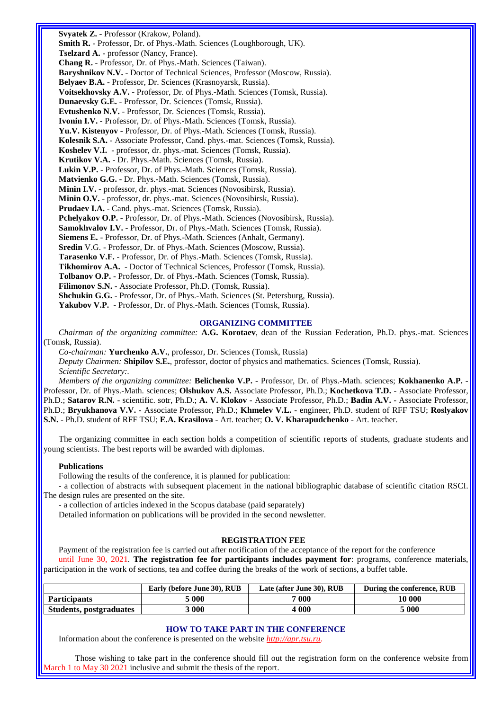**Svyatek Z.** - Professor (Krakow, Poland). **Smith R.** - Professor, Dr. of Phys.-Math. Sciences (Loughborough, UK). **Tselzard A.** - professor (Nancy, France). **Chang R.** - Professor, Dr. of Phys.-Math. Sciences (Taiwan). **Baryshnikov N.V.** - Doctor of Technical Sciences, Professor (Moscow, Russia). **Belyaev B.A.** - Professor, Dr. Sciences (Krasnoyarsk, Russia). **Voitsekhovsky A.V.** - Professor, Dr. of Phys.-Math. Sciences (Tomsk, Russia). **Dunaevsky G.E.** - Professor, Dr. Sciences (Tomsk, Russia). **Evtushenko N.V.** - Professor, Dr. Sciences (Tomsk, Russia). **Ivonin I.V.** - Professor, Dr. of Phys.-Math. Sciences (Tomsk, Russia). **Yu.V. Kistenyov** - Professor, Dr. of Phys.-Math. Sciences (Tomsk, Russia). **Kolesnik S.A.** - Associate Professor, Cand. phys.-mat. Sciences (Tomsk, Russia). **Koshelev V.I.** - professor, dr. phys.-mat. Sciences (Tomsk, Russia). **Krutikov V.A.** - Dr. Phys.-Math. Sciences (Tomsk, Russia). **Lukin V.P.** - Professor, Dr. of Phys.-Math. Sciences (Tomsk, Russia). **Matvienko G.G.** - Dr. Phys.-Math. Sciences (Tomsk, Russia). **Minin I.V.** - professor, dr. phys.-mat. Sciences (Novosibirsk, Russia). **Minin O.V.** - professor, dr. phys.-mat. Sciences (Novosibirsk, Russia). **Prudaev I.A.** - Cand. phys.-mat. Sciences (Tomsk, Russia). **Pchelyakov O.P.** - Professor, Dr. of Phys.-Math. Sciences (Novosibirsk, Russia). **Samokhvalov I.V.** - Professor, Dr. of Phys.-Math. Sciences (Tomsk, Russia). **Siemens E.** - Professor, Dr. of Phys.-Math. Sciences (Anhalt, Germany). **Sredin** V.G. - Professor, Dr. of Phys.-Math. Sciences (Moscow, Russia). **Tarasenko V.F.** - Professor, Dr. of Phys.-Math. Sciences (Tomsk, Russia). **Tikhomirov A.A.** - Doctor of Technical Sciences, Professor (Tomsk, Russia). **Tolbanov O.P.** - Professor, Dr. of Phys.-Math. Sciences (Tomsk, Russia). **Filimonov S.N.** - Associate Professor, Ph.D. (Tomsk, Russia). **Shchukin G.G.** - Professor, Dr. of Phys.-Math. Sciences (St. Petersburg, Russia). Yakubov V.P. - Professor, Dr. of Phys.-Math. Sciences (Tomsk, Russia).

#### **ORGANIZING COMMITTEE**

*Chairman of the organizing committee:* **A.G. Korotaev**, dean of the Russian Federation, Ph.D. phys.-mat. Sciences (Tomsk, Russia).

*Co-chairman:* **Yurchenko A.V.**, professor, Dr. Sciences (Tomsk, Russia)

*Deputy Chairmen:* **Shipilov S.E.**, professor, doctor of physics and mathematics. Sciences (Tomsk, Russia). *Scientific Secretary:.* 

*Members of the organizing committee:* **Belichenko V.P.** - Professor, Dr. of Phys.-Math. sciences; **Kokhanenko A.P.** - Professor, Dr. of Phys.-Math. sciences; **Olshukov A.S.** Associate Professor, Ph.D.; **Kochetkova T.D.** - Associate Professor, Ph.D.; **Satarov R.N.** - scientific. sotr, Ph.D.; **A. V. Klokov** - Associate Professor, Ph.D.; **Badin A.V.** - Associate Professor, Ph.D.; **Bryukhanova V.V.** - Associate Professor, Ph.D.; **Khmelev V.L.** - engineer, Ph.D. student of RFF TSU; **Roslyakov S.N.** - Ph.D. student of RFF TSU; **E.A. Krasilova** - Art. teacher; **O. V. Kharapudchenko** - Art. teacher.

The organizing committee in each section holds a competition of scientific reports of students, graduate students and young scientists. The best reports will be awarded with diplomas.

#### **Publications**

Following the results of the conference, it is planned for publication:

- a collection of abstracts with subsequent placement in the national bibliographic database of scientific citation RSCI. The design rules are presented on the site.

- a collection of articles indexed in the Scopus database (paid separately)

Detailed information on publications will be provided in the second newsletter.

#### **REGISTRATION FEE**

Payment of the registration fee is carried out after notification of the acceptance of the report for the conference until June 30, 2021. **The registration fee for participants includes payment for**: programs, conference materials, participation in the work of sections, tea and coffee during the breaks of the work of sections, a buffet table.

|                                | Early (before June 30), RUB | Late (after June 30), RUB | During the conference, RUB |
|--------------------------------|-----------------------------|---------------------------|----------------------------|
| <b>Participants</b>            | 5 000                       | $\sqrt{00}$               | 10 000                     |
| <b>Students, postgraduates</b> | 3 000                       | 4 000                     | 5 000                      |

#### **HOW TO TAKE PART IN THE CONFERENCE**

Information about the conference is presented on the website *http://apr.tsu.ru*.

Those wishing to take part in the conference should fill out the registration form on the conference website from March 1 to May 30 2021 inclusive and submit the thesis of the report.